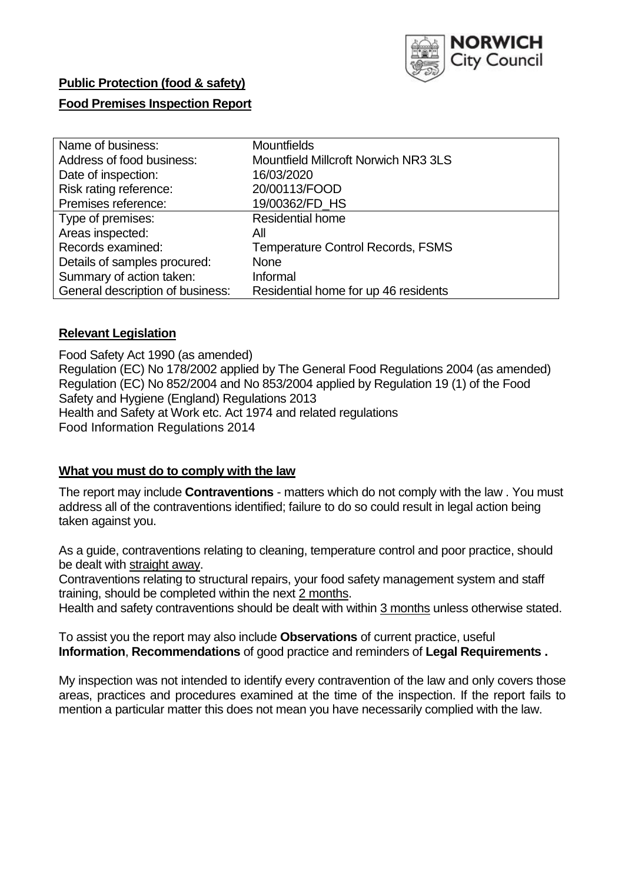

# **Public Protection (food & safety)**

# **Food Premises Inspection Report**

| Name of business:                | <b>Mountfields</b>                          |
|----------------------------------|---------------------------------------------|
| Address of food business:        | <b>Mountfield Millcroft Norwich NR3 3LS</b> |
| Date of inspection:              | 16/03/2020                                  |
| Risk rating reference:           | 20/00113/FOOD                               |
| Premises reference:              | 19/00362/FD_HS                              |
| Type of premises:                | <b>Residential home</b>                     |
| Areas inspected:                 | All                                         |
| Records examined:                | <b>Temperature Control Records, FSMS</b>    |
| Details of samples procured:     | <b>None</b>                                 |
| Summary of action taken:         | Informal                                    |
| General description of business: | Residential home for up 46 residents        |

# **Relevant Legislation**

Food Safety Act 1990 (as amended) Regulation (EC) No 178/2002 applied by The General Food Regulations 2004 (as amended) Regulation (EC) No 852/2004 and No 853/2004 applied by Regulation 19 (1) of the Food Safety and Hygiene (England) Regulations 2013 Health and Safety at Work etc. Act 1974 and related regulations Food Information Regulations 2014

# **What you must do to comply with the law**

The report may include **Contraventions** - matters which do not comply with the law . You must address all of the contraventions identified; failure to do so could result in legal action being taken against you.

As a guide, contraventions relating to cleaning, temperature control and poor practice, should be dealt with straight away.

Contraventions relating to structural repairs, your food safety management system and staff training, should be completed within the next 2 months.

Health and safety contraventions should be dealt with within 3 months unless otherwise stated.

To assist you the report may also include **Observations** of current practice, useful **Information**, **Recommendations** of good practice and reminders of **Legal Requirements .**

My inspection was not intended to identify every contravention of the law and only covers those areas, practices and procedures examined at the time of the inspection. If the report fails to mention a particular matter this does not mean you have necessarily complied with the law.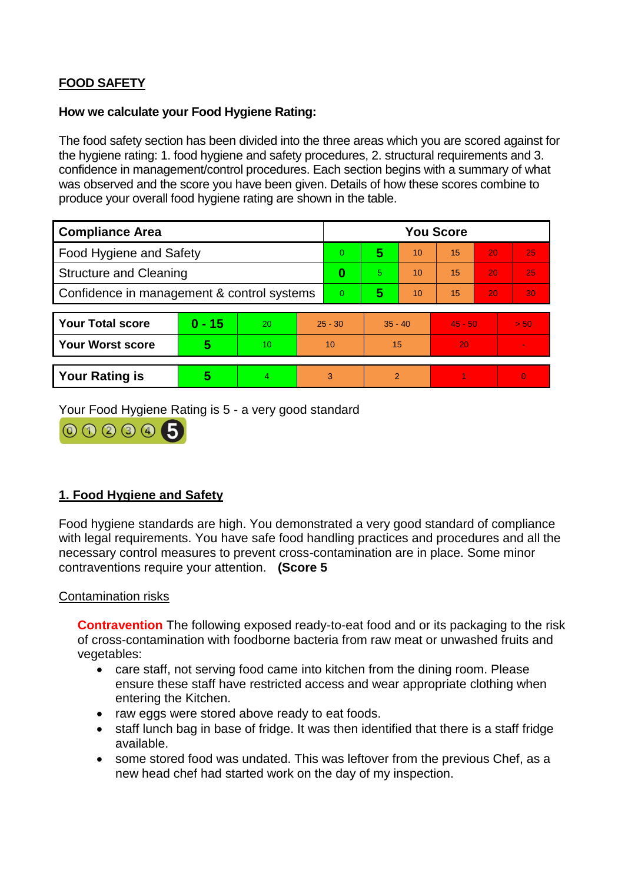# **FOOD SAFETY**

#### **How we calculate your Food Hygiene Rating:**

The food safety section has been divided into the three areas which you are scored against for the hygiene rating: 1. food hygiene and safety procedures, 2. structural requirements and 3. confidence in management/control procedures. Each section begins with a summary of what was observed and the score you have been given. Details of how these scores combine to produce your overall food hygiene rating are shown in the table.

| <b>Compliance Area</b>                     |          |    |                | <b>You Score</b> |                |    |           |    |          |  |  |
|--------------------------------------------|----------|----|----------------|------------------|----------------|----|-----------|----|----------|--|--|
| Food Hygiene and Safety                    |          |    | $\Omega$       | 5                | 10             | 15 | 20        | 25 |          |  |  |
| <b>Structure and Cleaning</b>              |          |    | $\bf{0}$       | 5                | 10             | 15 | 20        | 25 |          |  |  |
| Confidence in management & control systems |          |    | $\overline{0}$ | 5                | 10             | 15 | 20        | 30 |          |  |  |
|                                            |          |    |                |                  |                |    |           |    |          |  |  |
| <b>Your Total score</b>                    | $0 - 15$ | 20 |                | $25 - 30$        | $35 - 40$      |    | $45 - 50$ |    | > 50     |  |  |
| <b>Your Worst score</b>                    | 5        | 10 | 10             |                  | 15             |    | 20        |    |          |  |  |
|                                            |          |    |                |                  |                |    |           |    |          |  |  |
| <b>Your Rating is</b>                      | 5        |    |                | 3                | $\overline{2}$ |    |           |    | $\Omega$ |  |  |

Your Food Hygiene Rating is 5 - a very good standard



# **1. Food Hygiene and Safety**

Food hygiene standards are high. You demonstrated a very good standard of compliance with legal requirements. You have safe food handling practices and procedures and all the necessary control measures to prevent cross-contamination are in place. Some minor contraventions require your attention. **(Score 5**

# Contamination risks

**Contravention** The following exposed ready-to-eat food and or its packaging to the risk of cross-contamination with foodborne bacteria from raw meat or unwashed fruits and vegetables:

- care staff, not serving food came into kitchen from the dining room. Please ensure these staff have restricted access and wear appropriate clothing when entering the Kitchen.
- raw eggs were stored above ready to eat foods.
- staff lunch bag in base of fridge. It was then identified that there is a staff fridge available.
- some stored food was undated. This was leftover from the previous Chef, as a new head chef had started work on the day of my inspection.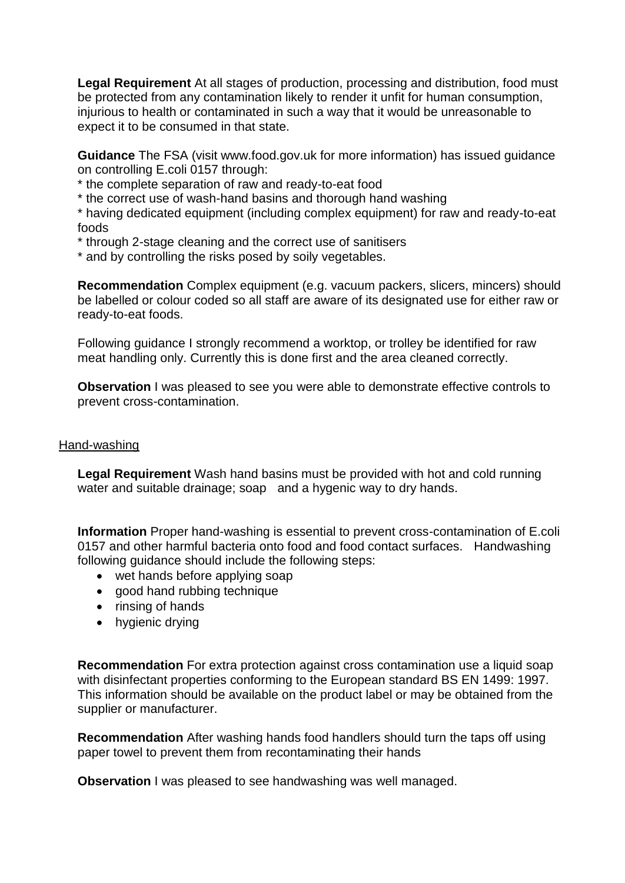**Legal Requirement** At all stages of production, processing and distribution, food must be protected from any contamination likely to render it unfit for human consumption, injurious to health or contaminated in such a way that it would be unreasonable to expect it to be consumed in that state.

**Guidance** The FSA (visit www.food.gov.uk for more information) has issued guidance on controlling E.coli 0157 through:

\* the complete separation of raw and ready-to-eat food

\* the correct use of wash-hand basins and thorough hand washing

\* having dedicated equipment (including complex equipment) for raw and ready-to-eat foods

\* through 2-stage cleaning and the correct use of sanitisers

\* and by controlling the risks posed by soily vegetables.

**Recommendation** Complex equipment (e.g. vacuum packers, slicers, mincers) should be labelled or colour coded so all staff are aware of its designated use for either raw or ready-to-eat foods.

Following guidance I strongly recommend a worktop, or trolley be identified for raw meat handling only. Currently this is done first and the area cleaned correctly.

**Observation** I was pleased to see you were able to demonstrate effective controls to prevent cross-contamination.

# Hand-washing

**Legal Requirement** Wash hand basins must be provided with hot and cold running water and suitable drainage; soap and a hygenic way to dry hands.

**Information** Proper hand-washing is essential to prevent cross-contamination of E.coli 0157 and other harmful bacteria onto food and food contact surfaces. Handwashing following guidance should include the following steps:

- wet hands before applying soap
- good hand rubbing technique
- rinsing of hands
- hygienic drying

**Recommendation** For extra protection against cross contamination use a liquid soap with disinfectant properties conforming to the European standard BS EN 1499: 1997. This information should be available on the product label or may be obtained from the supplier or manufacturer.

**Recommendation** After washing hands food handlers should turn the taps off using paper towel to prevent them from recontaminating their hands

**Observation I** was pleased to see handwashing was well managed.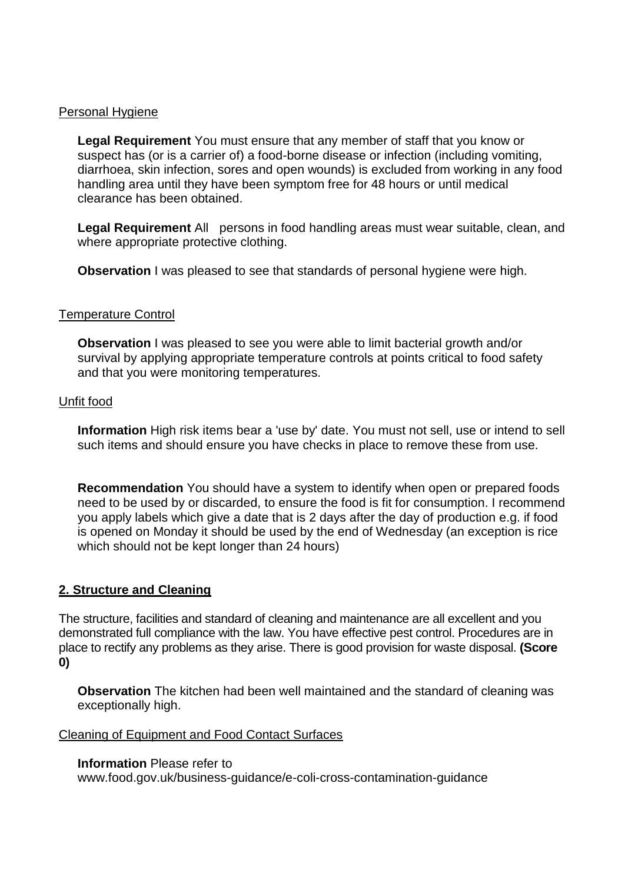#### Personal Hygiene

**Legal Requirement** You must ensure that any member of staff that you know or suspect has (or is a carrier of) a food-borne disease or infection (including vomiting, diarrhoea, skin infection, sores and open wounds) is excluded from working in any food handling area until they have been symptom free for 48 hours or until medical clearance has been obtained.

**Legal Requirement** All persons in food handling areas must wear suitable, clean, and where appropriate protective clothing.

**Observation** I was pleased to see that standards of personal hygiene were high.

#### Temperature Control

**Observation** I was pleased to see you were able to limit bacterial growth and/or survival by applying appropriate temperature controls at points critical to food safety and that you were monitoring temperatures.

#### Unfit food

**Information** High risk items bear a 'use by' date. You must not sell, use or intend to sell such items and should ensure you have checks in place to remove these from use.

**Recommendation** You should have a system to identify when open or prepared foods need to be used by or discarded, to ensure the food is fit for consumption. I recommend you apply labels which give a date that is 2 days after the day of production e.g. if food is opened on Monday it should be used by the end of Wednesday (an exception is rice which should not be kept longer than 24 hours)

# **2. Structure and Cleaning**

The structure, facilities and standard of cleaning and maintenance are all excellent and you demonstrated full compliance with the law. You have effective pest control. Procedures are in place to rectify any problems as they arise. There is good provision for waste disposal. **(Score 0)**

**Observation** The kitchen had been well maintained and the standard of cleaning was exceptionally high.

#### Cleaning of Equipment and Food Contact Surfaces

# **Information** Please refer to

www.food.gov.uk/business-guidance/e-coli-cross-contamination-guidance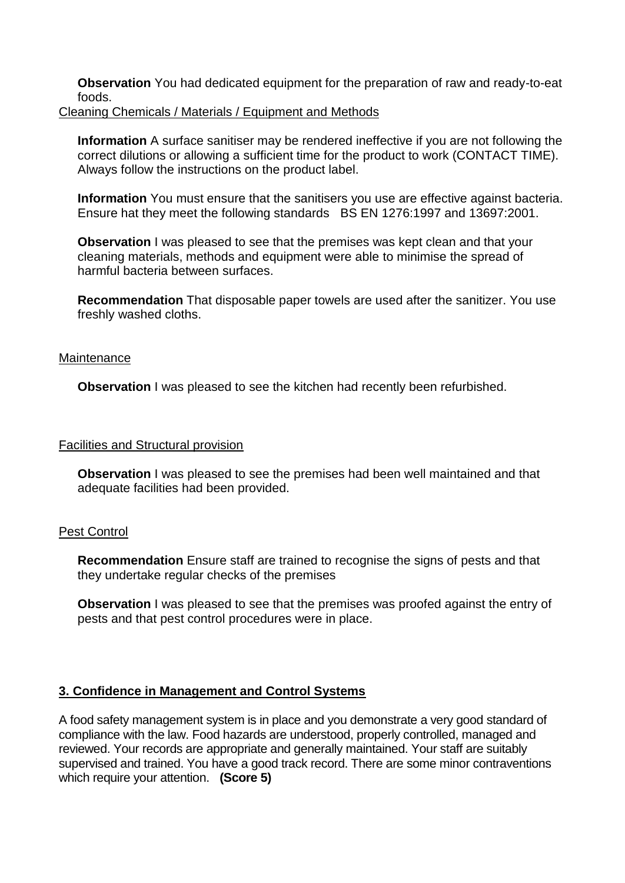**Observation** You had dedicated equipment for the preparation of raw and ready-to-eat foods. Cleaning Chemicals / Materials / Equipment and Methods

**Information** A surface sanitiser may be rendered ineffective if you are not following the correct dilutions or allowing a sufficient time for the product to work (CONTACT TIME). Always follow the instructions on the product label.

**Information** You must ensure that the sanitisers you use are effective against bacteria. Ensure hat they meet the following standards BS EN 1276:1997 and 13697:2001.

**Observation** I was pleased to see that the premises was kept clean and that your cleaning materials, methods and equipment were able to minimise the spread of harmful bacteria between surfaces.

**Recommendation** That disposable paper towels are used after the sanitizer. You use freshly washed cloths.

#### **Maintenance**

**Observation** I was pleased to see the kitchen had recently been refurbished.

#### **Facilities and Structural provision**

**Observation** I was pleased to see the premises had been well maintained and that adequate facilities had been provided.

#### Pest Control

**Recommendation** Ensure staff are trained to recognise the signs of pests and that they undertake regular checks of the premises

**Observation** I was pleased to see that the premises was proofed against the entry of pests and that pest control procedures were in place.

# **3. Confidence in Management and Control Systems**

A food safety management system is in place and you demonstrate a very good standard of compliance with the law. Food hazards are understood, properly controlled, managed and reviewed. Your records are appropriate and generally maintained. Your staff are suitably supervised and trained. You have a good track record. There are some minor contraventions which require your attention. **(Score 5)**